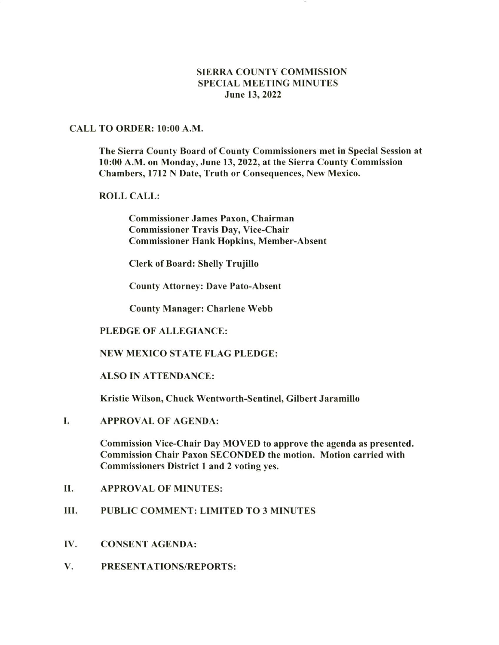# SIERRA COUNTY COMMISSION SPECIAL MEETING MINUTES June 13, 2022

## CALL TO ORDER: l0:00 A.M.

The Sierra County Board of County Commissioners met in Special Session at l0:00 A.M. on Monday, June 13, 2O22, at the Sierra County Commission Chambers, l7l2 N Date, Truth or Consequences, New Mexico.

## ROLL CALL:

Commissioner James Paxon, Chairman Commissioner Travis Day, Vice-Chair Commissioner Hank Hopkins, Member-Absent

Clerk of Board: Shelly Trujillo

County Attorney: Dave Pato-Absent

County Manager: Charlene Webb

## PLEDGE OF ALLEGIANCE:

#### NEW MEXICO STATE FLAG PLEDGE:

#### ALSO IN ATTENDANCE:

Kristie Wilson, Chuck Wentworth-Sentinel, Gilbert Jaramillo

APPROVAL OF AGENDA: I

> Commission Vice-Chair Day MOVED to approve the agenda as presented. Commission Chair Paxon SECONDED the motion. Motion carried with Commissioners District I and 2 voting yes.

- II. APPROVAL OF MINUTES:
- III. PUBLIC COMMENT: LIMITED TO 3 MINUTES
- IV. CONSENT AGENDA:
- V. PRESENTATIONS/REPORTS: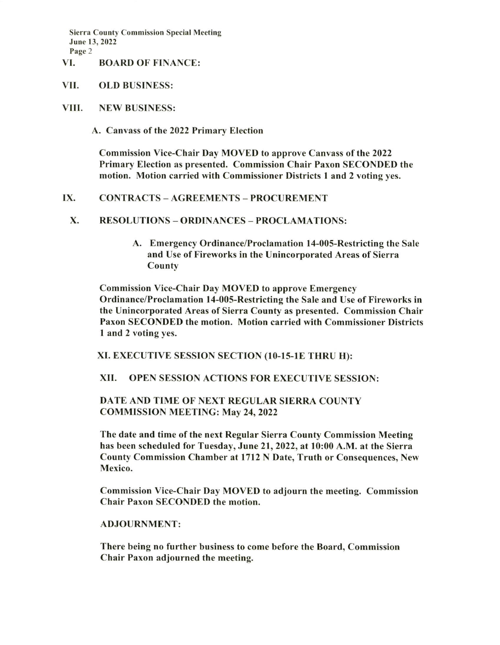Sierra County Commission Special Meeting June 13, 2022 Page 2

## VI. BOARD OF FINANCE:

- VII. OLD BUSINESS:
- VIII. NEW BUSINESS:

A. Canvass ot the 2022 Primary Election

Commission Vice-Chair Day MOVED to approve Canvass of the 2022 Primary Election as presented. Commission Chair Paxon SECONDED the motion. Motion carried with Commissioner Districts I and 2 voting yes.

## IX. CONTRACTS - AGREEMENTS - PROCUREMENT

- X. RESOLUTIONS ORDINANCES PROCLAMATIONS:
	- A. Emergency Ordinance/Proclamation l4-00S-Restricting the Sale and Use of Fireworks in the Unincorporated Areas of Sierra County

Commission Vice-Chair Day MOVED to approve Emergency Ordinance/Proclamation l4-005-Restricting the Sale and Use of Fireworks in the Unincorporated Areas of Sierra County as presented. Commission Chair Paxon SECONDED the motion. Motion carried with Commissioner Districts I and 2 voting yes.

XI. EXECUTIVE SESSION SECTION (IO.I5-IE THRU H):

XII. OPEN SESSION ACTIONS FOR EXECUTIVE SESSION:

## DATE AND TIME OF NEXT REGULAR SIERRA COUNTY COMMISSION MEETING: May 24, 2022

The date and time of the next Regular Sierra County Commission Meeting has been scheduled for Tuesday, June 21, 2022, at l0:00 A.M. at the Sierra County Commission Chamber at l7l2 N Date, Truth or Consequences, New Mexico.

Commission Vice-Chair Day MOVED to adjourn the meeting. Commission Chair Paxon SECONDED the motion.

#### ADJOURNMENT:

There being no further business to come before the Board, Commission Chair Paxon adjourned the meeting.